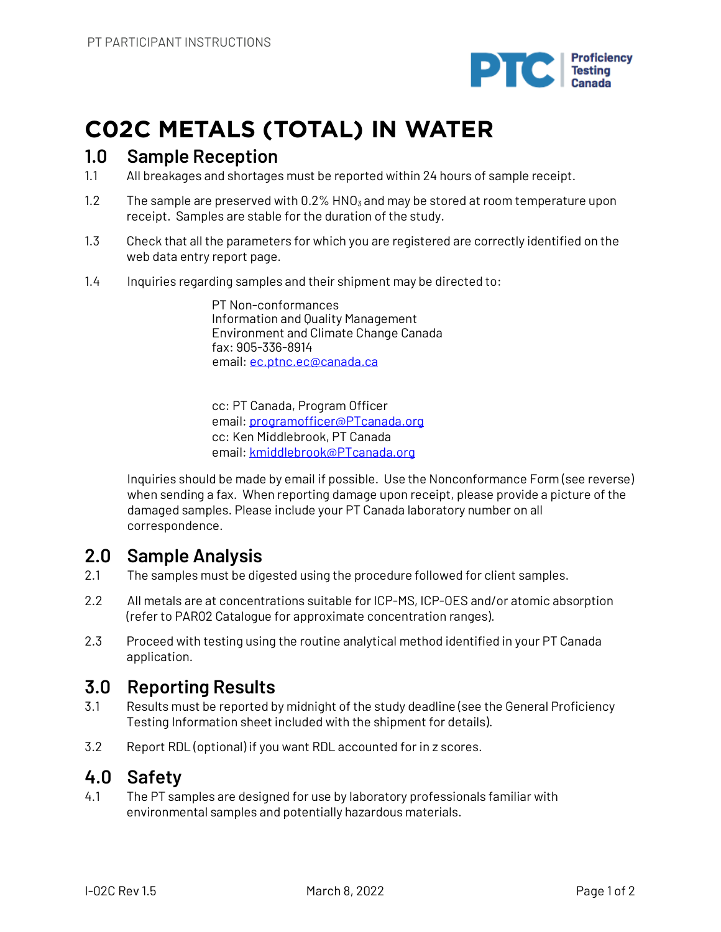

# **C02C METALS (TOTAL) IN WATER**

### **1.0 Sample Reception**

- 1.1 All breakages and shortages must be reported within 24 hours of sample receipt.
- 1.2 The sample are preserved with  $0.2\%$  HNO<sub>3</sub> and may be stored at room temperature upon receipt. Samples are stable for the duration of the study.
- 1.3 Check that all the parameters for which you are registered are correctly identified on the web data entry report page.
- 1.4 Inquiries regarding samples and their shipment may be directed to:

PT Non-conformances Information and Quality Management Environment and Climate Change Canada fax: 905-336-8914 email: ec.ptnc.ec@canada.ca

cc: PT Canada, Program Officer email: programofficer@PTcanada.org cc: Ken Middlebrook, PT Canada email: kmiddlebrook@PTcanada.org

Inquiries should be made by email if possible. Use the Nonconformance Form (see reverse) when sending a fax. When reporting damage upon receipt, please provide a picture of the damaged samples. Please include your PT Canada laboratory number on all correspondence.

## **2.0 Sample Analysis**

- 2.1 The samples must be digested using the procedure followed for client samples.
- 2.2 All metals are at concentrations suitable for ICP-MS, ICP-OES and/or atomic absorption (refer to PAR02 Catalogue for approximate concentration ranges).
- 2.3 Proceed with testing using the routine analytical method identified in your PT Canada application.

## **3.0 Reporting Results**

- 3.1 Results must be reported by midnight of the study deadline (see the General Proficiency Testing Information sheet included with the shipment for details).
- 3.2 Report RDL (optional) if you want RDL accounted for in z scores.

### **4.0 Safety**

4.1 The PT samples are designed for use by laboratory professionals familiar with environmental samples and potentially hazardous materials.